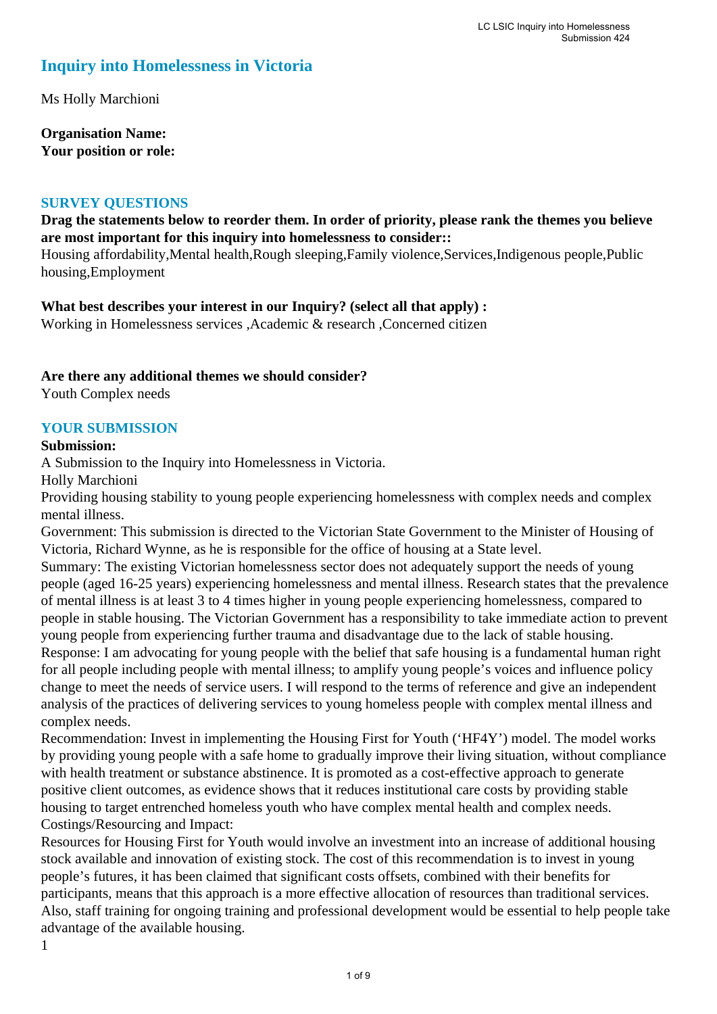# **Inquiry into Homelessness in Victoria**

Ms Holly Marchioni

**Organisation Name: Your position or role:** 

### **SURVEY QUESTIONS**

## **Drag the statements below to reorder them. In order of priority, please rank the themes you believe are most important for this inquiry into homelessness to consider::**

Housing affordability,Mental health,Rough sleeping,Family violence,Services,Indigenous people,Public housing,Employment

**What best describes your interest in our Inquiry? (select all that apply) :** 

Working in Homelessness services ,Academic & research ,Concerned citizen

## **Are there any additional themes we should consider?**

Youth Complex needs

## **YOUR SUBMISSION**

#### **Submission:**

A Submission to the Inquiry into Homelessness in Victoria.

Holly Marchioni

Providing housing stability to young people experiencing homelessness with complex needs and complex mental illness.

Government: This submission is directed to the Victorian State Government to the Minister of Housing of Victoria, Richard Wynne, as he is responsible for the office of housing at a State level.

Summary: The existing Victorian homelessness sector does not adequately support the needs of young people (aged 16-25 years) experiencing homelessness and mental illness. Research states that the prevalence of mental illness is at least 3 to 4 times higher in young people experiencing homelessness, compared to people in stable housing. The Victorian Government has a responsibility to take immediate action to prevent young people from experiencing further trauma and disadvantage due to the lack of stable housing. Response: I am advocating for young people with the belief that safe housing is a fundamental human right

for all people including people with mental illness; to amplify young people's voices and influence policy change to meet the needs of service users. I will respond to the terms of reference and give an independent analysis of the practices of delivering services to young homeless people with complex mental illness and complex needs.

Recommendation: Invest in implementing the Housing First for Youth ('HF4Y') model. The model works by providing young people with a safe home to gradually improve their living situation, without compliance with health treatment or substance abstinence. It is promoted as a cost-effective approach to generate positive client outcomes, as evidence shows that it reduces institutional care costs by providing stable housing to target entrenched homeless youth who have complex mental health and complex needs. Costings/Resourcing and Impact:

Resources for Housing First for Youth would involve an investment into an increase of additional housing stock available and innovation of existing stock. The cost of this recommendation is to invest in young people's futures, it has been claimed that significant costs offsets, combined with their benefits for participants, means that this approach is a more effective allocation of resources than traditional services. Also, staff training for ongoing training and professional development would be essential to help people take advantage of the available housing.

1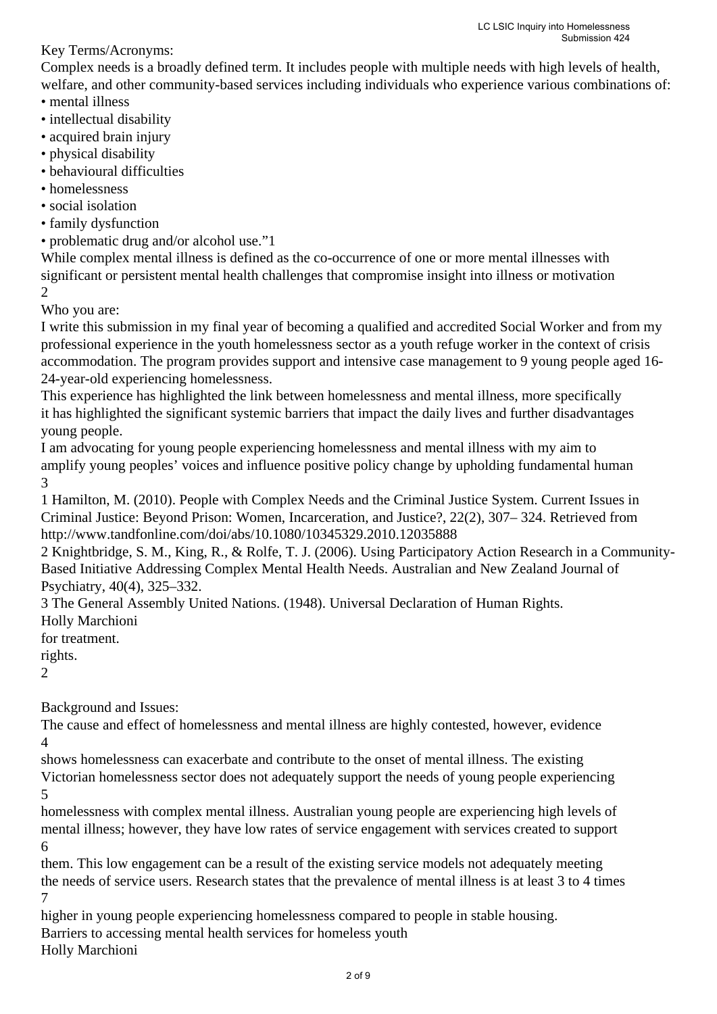Key Terms/Acronyms:

Complex needs is a broadly defined term. It includes people with multiple needs with high levels of health, welfare, and other community-based services including individuals who experience various combinations of: • mental illness

- intellectual disability
- acquired brain injury
- physical disability
- behavioural difficulties
- homelessness
- social isolation
- family dysfunction
- problematic drug and/or alcohol use."1

While complex mental illness is defined as the co-occurrence of one or more mental illnesses with significant or persistent mental health challenges that compromise insight into illness or motivation 2

Who you are:

I write this submission in my final year of becoming a qualified and accredited Social Worker and from my professional experience in the youth homelessness sector as a youth refuge worker in the context of crisis accommodation. The program provides support and intensive case management to 9 young people aged 16- 24-year-old experiencing homelessness.

This experience has highlighted the link between homelessness and mental illness, more specifically it has highlighted the significant systemic barriers that impact the daily lives and further disadvantages young people.

I am advocating for young people experiencing homelessness and mental illness with my aim to amplify young peoples' voices and influence positive policy change by upholding fundamental human 3

1 Hamilton, M. (2010). People with Complex Needs and the Criminal Justice System. Current Issues in Criminal Justice: Beyond Prison: Women, Incarceration, and Justice?, 22(2), 307– 324. Retrieved from http://www.tandfonline.com/doi/abs/10.1080/10345329.2010.12035888

2 Knightbridge, S. M., King, R., & Rolfe, T. J. (2006). Using Participatory Action Research in a Community-Based Initiative Addressing Complex Mental Health Needs. Australian and New Zealand Journal of Psychiatry, 40(4), 325–332.

3 The General Assembly United Nations. (1948). Universal Declaration of Human Rights.

Holly Marchioni

for treatment.

rights.

2

Background and Issues:

The cause and effect of homelessness and mental illness are highly contested, however, evidence 4

shows homelessness can exacerbate and contribute to the onset of mental illness. The existing Victorian homelessness sector does not adequately support the needs of young people experiencing 5

homelessness with complex mental illness. Australian young people are experiencing high levels of mental illness; however, they have low rates of service engagement with services created to support 6

them. This low engagement can be a result of the existing service models not adequately meeting the needs of service users. Research states that the prevalence of mental illness is at least 3 to 4 times 7

higher in young people experiencing homelessness compared to people in stable housing.

Barriers to accessing mental health services for homeless youth

Holly Marchioni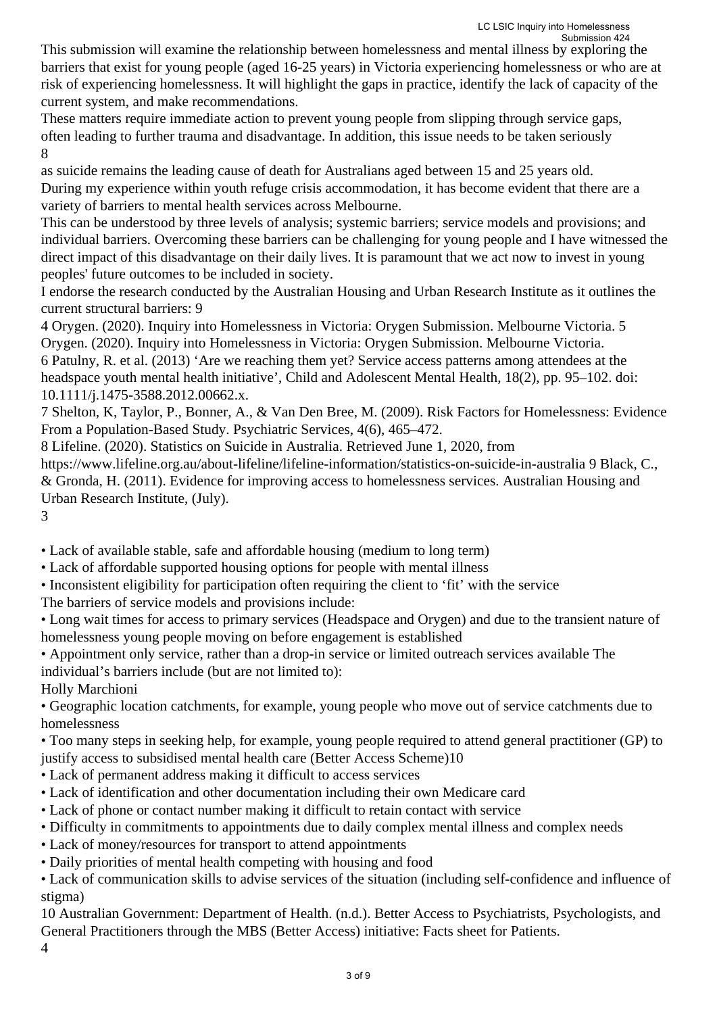This submission will examine the relationship between homelessness and mental illness by exploring the barriers that exist for young people (aged 16-25 years) in Victoria experiencing homelessness or who are at risk of experiencing homelessness. It will highlight the gaps in practice, identify the lack of capacity of the current system, and make recommendations.

These matters require immediate action to prevent young people from slipping through service gaps, often leading to further trauma and disadvantage. In addition, this issue needs to be taken seriously 8

as suicide remains the leading cause of death for Australians aged between 15 and 25 years old. During my experience within youth refuge crisis accommodation, it has become evident that there are a variety of barriers to mental health services across Melbourne.

This can be understood by three levels of analysis; systemic barriers; service models and provisions; and individual barriers. Overcoming these barriers can be challenging for young people and I have witnessed the direct impact of this disadvantage on their daily lives. It is paramount that we act now to invest in young peoples' future outcomes to be included in society.

I endorse the research conducted by the Australian Housing and Urban Research Institute as it outlines the current structural barriers: 9

4 Orygen. (2020). Inquiry into Homelessness in Victoria: Orygen Submission. Melbourne Victoria. 5 Orygen. (2020). Inquiry into Homelessness in Victoria: Orygen Submission. Melbourne Victoria. 6 Patulny, R. et al. (2013) 'Are we reaching them yet? Service access patterns among attendees at the headspace youth mental health initiative', Child and Adolescent Mental Health, 18(2), pp. 95–102. doi: 10.1111/j.1475-3588.2012.00662.x.

7 Shelton, K, Taylor, P., Bonner, A., & Van Den Bree, M. (2009). Risk Factors for Homelessness: Evidence From a Population-Based Study. Psychiatric Services, 4(6), 465–472.

8 Lifeline. (2020). Statistics on Suicide in Australia. Retrieved June 1, 2020, from

https://www.lifeline.org.au/about-lifeline/lifeline-information/statistics-on-suicide-in-australia 9 Black, C., & Gronda, H. (2011). Evidence for improving access to homelessness services. Australian Housing and Urban Research Institute, (July).

3

• Lack of available stable, safe and affordable housing (medium to long term)

• Lack of affordable supported housing options for people with mental illness

• Inconsistent eligibility for participation often requiring the client to 'fit' with the service

The barriers of service models and provisions include:

• Long wait times for access to primary services (Headspace and Orygen) and due to the transient nature of homelessness young people moving on before engagement is established

• Appointment only service, rather than a drop-in service or limited outreach services available The individual's barriers include (but are not limited to):

Holly Marchioni

• Geographic location catchments, for example, young people who move out of service catchments due to homelessness

• Too many steps in seeking help, for example, young people required to attend general practitioner (GP) to justify access to subsidised mental health care (Better Access Scheme)10

• Lack of permanent address making it difficult to access services

• Lack of identification and other documentation including their own Medicare card

- Lack of phone or contact number making it difficult to retain contact with service
- Difficulty in commitments to appointments due to daily complex mental illness and complex needs

• Lack of money/resources for transport to attend appointments

• Daily priorities of mental health competing with housing and food

• Lack of communication skills to advise services of the situation (including self-confidence and influence of stigma)

10 Australian Government: Department of Health. (n.d.). Better Access to Psychiatrists, Psychologists, and General Practitioners through the MBS (Better Access) initiative: Facts sheet for Patients.

4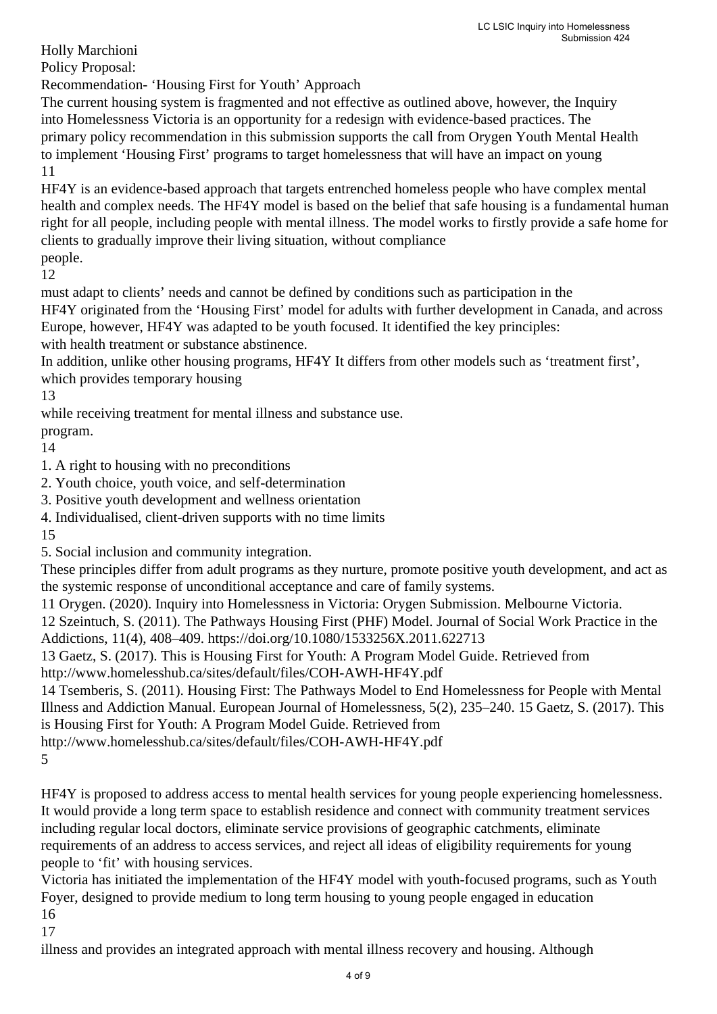Holly Marchioni Policy Proposal:

Recommendation- 'Housing First for Youth' Approach

The current housing system is fragmented and not effective as outlined above, however, the Inquiry into Homelessness Victoria is an opportunity for a redesign with evidence-based practices. The primary policy recommendation in this submission supports the call from Orygen Youth Mental Health to implement 'Housing First' programs to target homelessness that will have an impact on young 11

HF4Y is an evidence-based approach that targets entrenched homeless people who have complex mental health and complex needs. The HF4Y model is based on the belief that safe housing is a fundamental human right for all people, including people with mental illness. The model works to firstly provide a safe home for clients to gradually improve their living situation, without compliance people.

12

must adapt to clients' needs and cannot be defined by conditions such as participation in the HF4Y originated from the 'Housing First' model for adults with further development in Canada, and across Europe, however, HF4Y was adapted to be youth focused. It identified the key principles: with health treatment or substance abstinence.

In addition, unlike other housing programs, HF4Y It differs from other models such as 'treatment first', which provides temporary housing

13

while receiving treatment for mental illness and substance use.

program.

14

1. A right to housing with no preconditions

2. Youth choice, youth voice, and self-determination

3. Positive youth development and wellness orientation

4. Individualised, client-driven supports with no time limits

15

5. Social inclusion and community integration.

These principles differ from adult programs as they nurture, promote positive youth development, and act as the systemic response of unconditional acceptance and care of family systems.

11 Orygen. (2020). Inquiry into Homelessness in Victoria: Orygen Submission. Melbourne Victoria.

12 Szeintuch, S. (2011). The Pathways Housing First (PHF) Model. Journal of Social Work Practice in the Addictions, 11(4), 408–409. https://doi.org/10.1080/1533256X.2011.622713

13 Gaetz, S. (2017). This is Housing First for Youth: A Program Model Guide. Retrieved from

http://www.homelesshub.ca/sites/default/files/COH-AWH-HF4Y.pdf

14 Tsemberis, S. (2011). Housing First: The Pathways Model to End Homelessness for People with Mental Illness and Addiction Manual. European Journal of Homelessness, 5(2), 235–240. 15 Gaetz, S. (2017). This is Housing First for Youth: A Program Model Guide. Retrieved from

http://www.homelesshub.ca/sites/default/files/COH-AWH-HF4Y.pdf

5

HF4Y is proposed to address access to mental health services for young people experiencing homelessness. It would provide a long term space to establish residence and connect with community treatment services including regular local doctors, eliminate service provisions of geographic catchments, eliminate requirements of an address to access services, and reject all ideas of eligibility requirements for young people to 'fit' with housing services.

Victoria has initiated the implementation of the HF4Y model with youth-focused programs, such as Youth Foyer, designed to provide medium to long term housing to young people engaged in education 16

17

illness and provides an integrated approach with mental illness recovery and housing. Although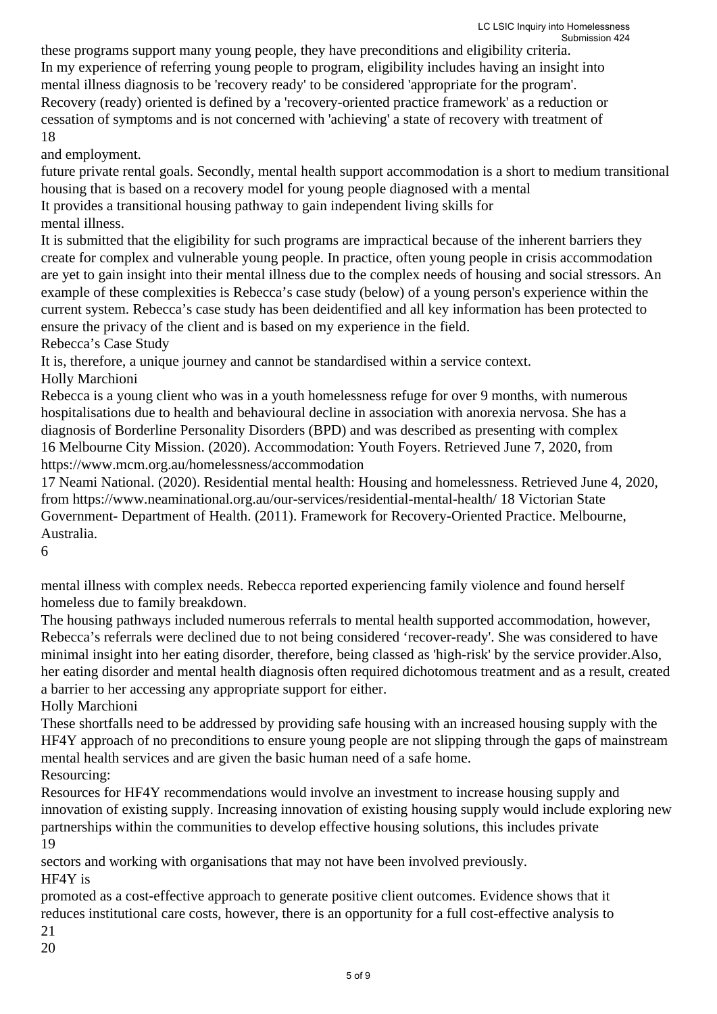these programs support many young people, they have preconditions and eligibility criteria. In my experience of referring young people to program, eligibility includes having an insight into mental illness diagnosis to be 'recovery ready' to be considered 'appropriate for the program'. Recovery (ready) oriented is defined by a 'recovery-oriented practice framework' as a reduction or cessation of symptoms and is not concerned with 'achieving' a state of recovery with treatment of 18

and employment.

future private rental goals. Secondly, mental health support accommodation is a short to medium transitional housing that is based on a recovery model for young people diagnosed with a mental It provides a transitional housing pathway to gain independent living skills for

mental illness.

It is submitted that the eligibility for such programs are impractical because of the inherent barriers they create for complex and vulnerable young people. In practice, often young people in crisis accommodation are yet to gain insight into their mental illness due to the complex needs of housing and social stressors. An example of these complexities is Rebecca's case study (below) of a young person's experience within the current system. Rebecca's case study has been deidentified and all key information has been protected to ensure the privacy of the client and is based on my experience in the field.

Rebecca's Case Study

It is, therefore, a unique journey and cannot be standardised within a service context.

Holly Marchioni

Rebecca is a young client who was in a youth homelessness refuge for over 9 months, with numerous hospitalisations due to health and behavioural decline in association with anorexia nervosa. She has a diagnosis of Borderline Personality Disorders (BPD) and was described as presenting with complex 16 Melbourne City Mission. (2020). Accommodation: Youth Foyers. Retrieved June 7, 2020, from https://www.mcm.org.au/homelessness/accommodation

17 Neami National. (2020). Residential mental health: Housing and homelessness. Retrieved June 4, 2020, from https://www.neaminational.org.au/our-services/residential-mental-health/ 18 Victorian State Government- Department of Health. (2011). Framework for Recovery-Oriented Practice. Melbourne, Australia.

6

mental illness with complex needs. Rebecca reported experiencing family violence and found herself homeless due to family breakdown.

The housing pathways included numerous referrals to mental health supported accommodation, however, Rebecca's referrals were declined due to not being considered 'recover-ready'. She was considered to have minimal insight into her eating disorder, therefore, being classed as 'high-risk' by the service provider.Also, her eating disorder and mental health diagnosis often required dichotomous treatment and as a result, created a barrier to her accessing any appropriate support for either.

Holly Marchioni

These shortfalls need to be addressed by providing safe housing with an increased housing supply with the HF4Y approach of no preconditions to ensure young people are not slipping through the gaps of mainstream mental health services and are given the basic human need of a safe home.

Resourcing:

Resources for HF4Y recommendations would involve an investment to increase housing supply and innovation of existing supply. Increasing innovation of existing housing supply would include exploring new partnerships within the communities to develop effective housing solutions, this includes private 19

sectors and working with organisations that may not have been involved previously. HF4Y is

promoted as a cost-effective approach to generate positive client outcomes. Evidence shows that it reduces institutional care costs, however, there is an opportunity for a full cost-effective analysis to 21

20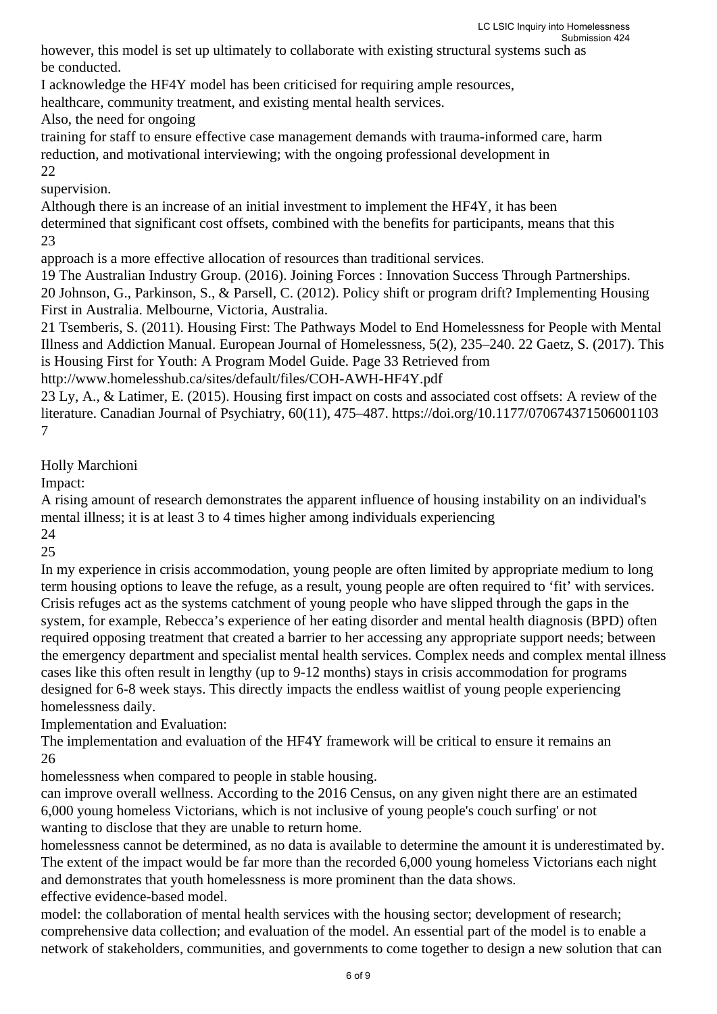however, this model is set up ultimately to collaborate with existing structural systems such as be conducted.

I acknowledge the HF4Y model has been criticised for requiring ample resources,

healthcare, community treatment, and existing mental health services.

Also, the need for ongoing

training for staff to ensure effective case management demands with trauma-informed care, harm reduction, and motivational interviewing; with the ongoing professional development in 22

## supervision.

Although there is an increase of an initial investment to implement the HF4Y, it has been determined that significant cost offsets, combined with the benefits for participants, means that this 23

approach is a more effective allocation of resources than traditional services.

19 The Australian Industry Group. (2016). Joining Forces : Innovation Success Through Partnerships. 20 Johnson, G., Parkinson, S., & Parsell, C. (2012). Policy shift or program drift? Implementing Housing First in Australia. Melbourne, Victoria, Australia.

21 Tsemberis, S. (2011). Housing First: The Pathways Model to End Homelessness for People with Mental Illness and Addiction Manual. European Journal of Homelessness, 5(2), 235–240. 22 Gaetz, S. (2017). This is Housing First for Youth: A Program Model Guide. Page 33 Retrieved from

http://www.homelesshub.ca/sites/default/files/COH-AWH-HF4Y.pdf

23 Ly, A., & Latimer, E. (2015). Housing first impact on costs and associated cost offsets: A review of the literature. Canadian Journal of Psychiatry, 60(11), 475–487. https://doi.org/10.1177/070674371506001103 7

Holly Marchioni

Impact:

A rising amount of research demonstrates the apparent influence of housing instability on an individual's mental illness; it is at least 3 to 4 times higher among individuals experiencing

24

25

In my experience in crisis accommodation, young people are often limited by appropriate medium to long term housing options to leave the refuge, as a result, young people are often required to 'fit' with services. Crisis refuges act as the systems catchment of young people who have slipped through the gaps in the system, for example, Rebecca's experience of her eating disorder and mental health diagnosis (BPD) often required opposing treatment that created a barrier to her accessing any appropriate support needs; between the emergency department and specialist mental health services. Complex needs and complex mental illness cases like this often result in lengthy (up to 9-12 months) stays in crisis accommodation for programs designed for 6-8 week stays. This directly impacts the endless waitlist of young people experiencing homelessness daily.

Implementation and Evaluation:

The implementation and evaluation of the HF4Y framework will be critical to ensure it remains an 26

homelessness when compared to people in stable housing.

can improve overall wellness. According to the 2016 Census, on any given night there are an estimated 6,000 young homeless Victorians, which is not inclusive of young people's couch surfing' or not wanting to disclose that they are unable to return home.

homelessness cannot be determined, as no data is available to determine the amount it is underestimated by. The extent of the impact would be far more than the recorded 6,000 young homeless Victorians each night and demonstrates that youth homelessness is more prominent than the data shows. effective evidence-based model.

model: the collaboration of mental health services with the housing sector; development of research; comprehensive data collection; and evaluation of the model. An essential part of the model is to enable a network of stakeholders, communities, and governments to come together to design a new solution that can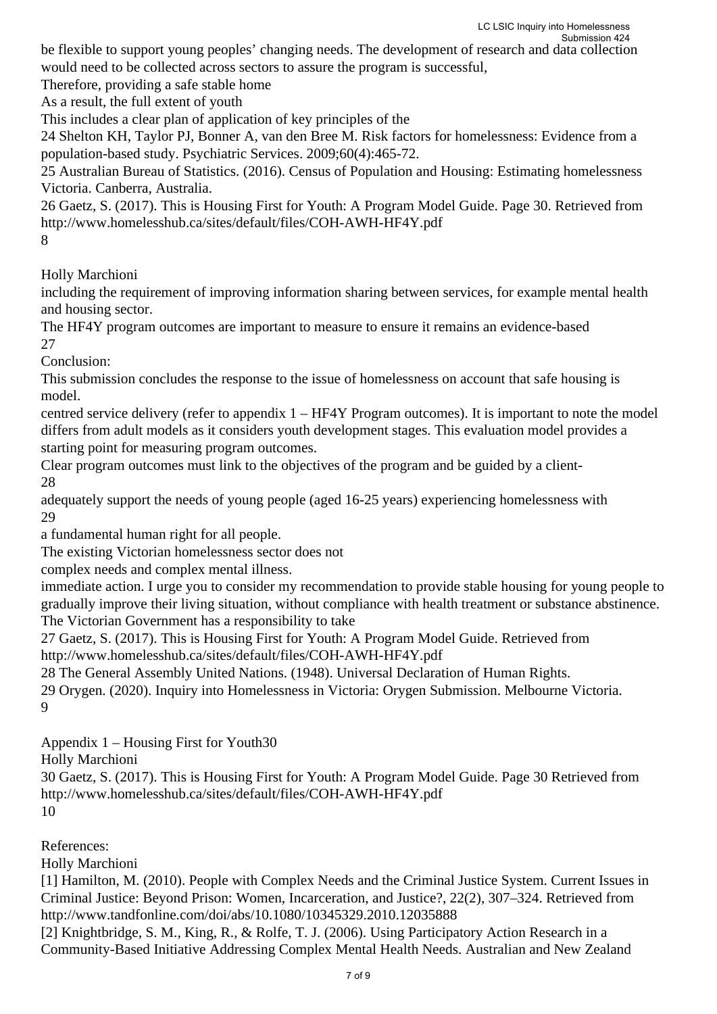be flexible to support young peoples' changing needs. The development of research and data collection would need to be collected across sectors to assure the program is successful,

Therefore, providing a safe stable home

As a result, the full extent of youth

This includes a clear plan of application of key principles of the

24 Shelton KH, Taylor PJ, Bonner A, van den Bree M. Risk factors for homelessness: Evidence from a population-based study. Psychiatric Services. 2009;60(4):465-72.

25 Australian Bureau of Statistics. (2016). Census of Population and Housing: Estimating homelessness Victoria. Canberra, Australia.

26 Gaetz, S. (2017). This is Housing First for Youth: A Program Model Guide. Page 30. Retrieved from http://www.homelesshub.ca/sites/default/files/COH-AWH-HF4Y.pdf

8

Holly Marchioni

including the requirement of improving information sharing between services, for example mental health and housing sector.

The HF4Y program outcomes are important to measure to ensure it remains an evidence-based 27

Conclusion:

This submission concludes the response to the issue of homelessness on account that safe housing is model.

centred service delivery (refer to appendix 1 – HF4Y Program outcomes). It is important to note the model differs from adult models as it considers youth development stages. This evaluation model provides a starting point for measuring program outcomes.

Clear program outcomes must link to the objectives of the program and be guided by a client-28

adequately support the needs of young people (aged 16-25 years) experiencing homelessness with 29

a fundamental human right for all people.

The existing Victorian homelessness sector does not

complex needs and complex mental illness.

immediate action. I urge you to consider my recommendation to provide stable housing for young people to gradually improve their living situation, without compliance with health treatment or substance abstinence. The Victorian Government has a responsibility to take

27 Gaetz, S. (2017). This is Housing First for Youth: A Program Model Guide. Retrieved from http://www.homelesshub.ca/sites/default/files/COH-AWH-HF4Y.pdf

28 The General Assembly United Nations. (1948). Universal Declaration of Human Rights.

29 Orygen. (2020). Inquiry into Homelessness in Victoria: Orygen Submission. Melbourne Victoria. 9

Appendix 1 – Housing First for Youth30

Holly Marchioni

30 Gaetz, S. (2017). This is Housing First for Youth: A Program Model Guide. Page 30 Retrieved from http://www.homelesshub.ca/sites/default/files/COH-AWH-HF4Y.pdf 10

References:

Holly Marchioni

[1] Hamilton, M. (2010). People with Complex Needs and the Criminal Justice System. Current Issues in Criminal Justice: Beyond Prison: Women, Incarceration, and Justice?, 22(2), 307–324. Retrieved from http://www.tandfonline.com/doi/abs/10.1080/10345329.2010.12035888

[2] Knightbridge, S. M., King, R., & Rolfe, T. J. (2006). Using Participatory Action Research in a Community-Based Initiative Addressing Complex Mental Health Needs. Australian and New Zealand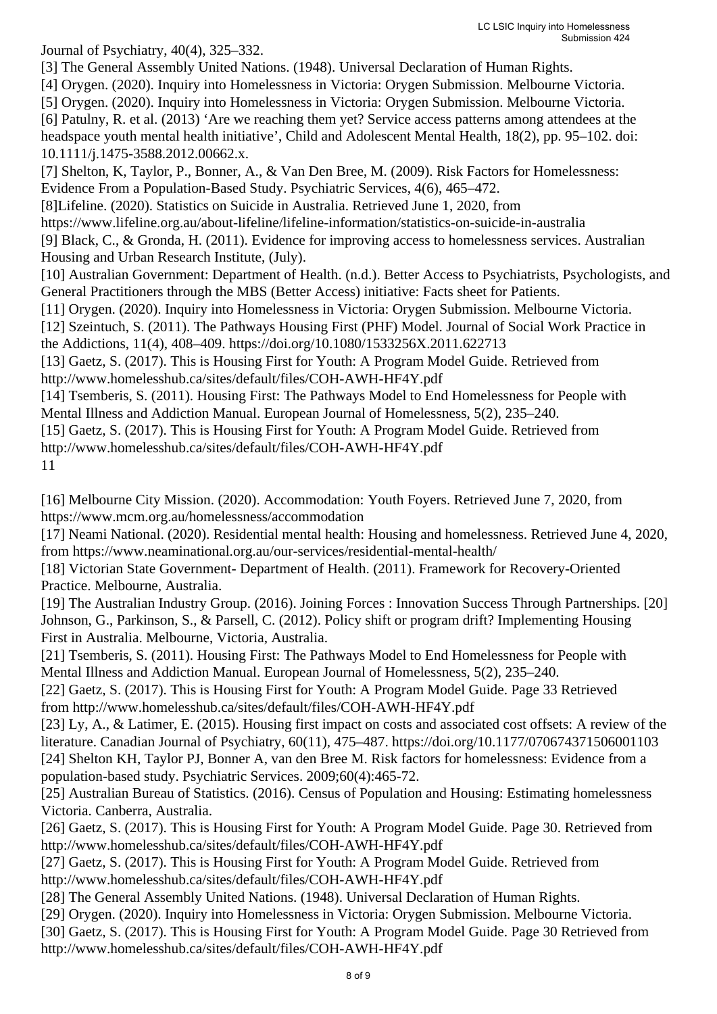Journal of Psychiatry, 40(4), 325–332.

[3] The General Assembly United Nations. (1948). Universal Declaration of Human Rights.

[4] Orygen. (2020). Inquiry into Homelessness in Victoria: Orygen Submission. Melbourne Victoria.

[5] Orygen. (2020). Inquiry into Homelessness in Victoria: Orygen Submission. Melbourne Victoria. [6] Patulny, R. et al. (2013) 'Are we reaching them yet? Service access patterns among attendees at the headspace youth mental health initiative', Child and Adolescent Mental Health, 18(2), pp. 95–102. doi: 10.1111/j.1475-3588.2012.00662.x.

[7] Shelton, K, Taylor, P., Bonner, A., & Van Den Bree, M. (2009). Risk Factors for Homelessness: Evidence From a Population-Based Study. Psychiatric Services, 4(6), 465–472.

[8]Lifeline. (2020). Statistics on Suicide in Australia. Retrieved June 1, 2020, from

https://www.lifeline.org.au/about-lifeline/lifeline-information/statistics-on-suicide-in-australia

[9] Black, C., & Gronda, H. (2011). Evidence for improving access to homelessness services. Australian Housing and Urban Research Institute, (July).

[10] Australian Government: Department of Health. (n.d.). Better Access to Psychiatrists, Psychologists, and General Practitioners through the MBS (Better Access) initiative: Facts sheet for Patients.

[11] Orygen. (2020). Inquiry into Homelessness in Victoria: Orygen Submission. Melbourne Victoria.

[12] Szeintuch, S. (2011). The Pathways Housing First (PHF) Model. Journal of Social Work Practice in the Addictions, 11(4), 408–409. https://doi.org/10.1080/1533256X.2011.622713

[13] Gaetz, S. (2017). This is Housing First for Youth: A Program Model Guide. Retrieved from http://www.homelesshub.ca/sites/default/files/COH-AWH-HF4Y.pdf

[14] Tsemberis, S. (2011). Housing First: The Pathways Model to End Homelessness for People with Mental Illness and Addiction Manual. European Journal of Homelessness, 5(2), 235–240.

[15] Gaetz, S. (2017). This is Housing First for Youth: A Program Model Guide. Retrieved from http://www.homelesshub.ca/sites/default/files/COH-AWH-HF4Y.pdf 11

[16] Melbourne City Mission. (2020). Accommodation: Youth Foyers. Retrieved June 7, 2020, from https://www.mcm.org.au/homelessness/accommodation

[17] Neami National. (2020). Residential mental health: Housing and homelessness. Retrieved June 4, 2020, from https://www.neaminational.org.au/our-services/residential-mental-health/

[18] Victorian State Government- Department of Health. (2011). Framework for Recovery-Oriented Practice. Melbourne, Australia.

[19] The Australian Industry Group. (2016). Joining Forces : Innovation Success Through Partnerships. [20] Johnson, G., Parkinson, S., & Parsell, C. (2012). Policy shift or program drift? Implementing Housing First in Australia. Melbourne, Victoria, Australia.

[21] Tsemberis, S. (2011). Housing First: The Pathways Model to End Homelessness for People with Mental Illness and Addiction Manual. European Journal of Homelessness, 5(2), 235–240.

[22] Gaetz, S. (2017). This is Housing First for Youth: A Program Model Guide. Page 33 Retrieved from http://www.homelesshub.ca/sites/default/files/COH-AWH-HF4Y.pdf

[23] Ly, A., & Latimer, E. (2015). Housing first impact on costs and associated cost offsets: A review of the literature. Canadian Journal of Psychiatry, 60(11), 475–487. https://doi.org/10.1177/070674371506001103 [24] Shelton KH, Taylor PJ, Bonner A, van den Bree M. Risk factors for homelessness: Evidence from a population-based study. Psychiatric Services. 2009;60(4):465-72.

[25] Australian Bureau of Statistics. (2016). Census of Population and Housing: Estimating homelessness Victoria. Canberra, Australia.

[26] Gaetz, S. (2017). This is Housing First for Youth: A Program Model Guide. Page 30. Retrieved from http://www.homelesshub.ca/sites/default/files/COH-AWH-HF4Y.pdf

[27] Gaetz, S. (2017). This is Housing First for Youth: A Program Model Guide. Retrieved from http://www.homelesshub.ca/sites/default/files/COH-AWH-HF4Y.pdf

[28] The General Assembly United Nations. (1948). Universal Declaration of Human Rights.

[29] Orygen. (2020). Inquiry into Homelessness in Victoria: Orygen Submission. Melbourne Victoria.

[30] Gaetz, S. (2017). This is Housing First for Youth: A Program Model Guide. Page 30 Retrieved from http://www.homelesshub.ca/sites/default/files/COH-AWH-HF4Y.pdf